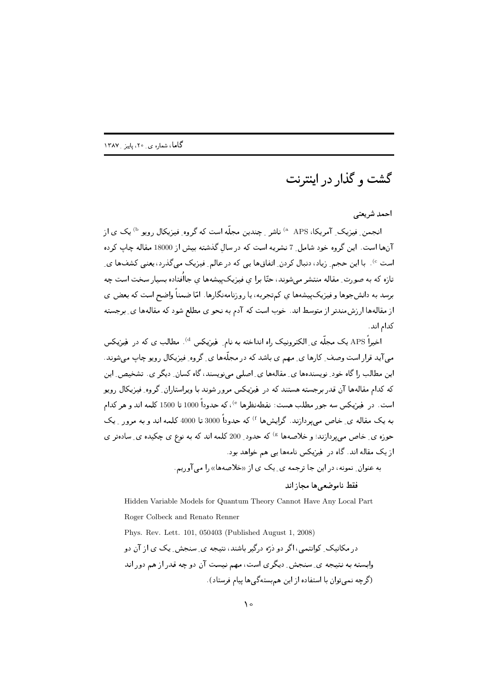گشت و گذار در اینترنت

احمد شريعتي

انجمن ِ فیزیک ِ آمریکا، APS <sup>۵</sup> ناشر ِ چندین مجله است که گروه ِ فیزیکال رویو <sup>b</sup> یک ی از انها است. این گروه خود شامل ِ 7 نشریه است که در سالِ گذشته بیش از 18000 مقاله چاپ کرده است °). با این حجم ِ زیاد، دنبال کردن ِ اتفاق@ ایی که در عالم ِ فیزیک می گذرد، یعنی کشف@ ای لارد لله به القورات المتالية المتشر التي شولند، الله برا، أي اليوريات پيشه ها، أي البنا باده بشيور الماليات ال برسد به دانش جوت و میریات پیشه ته ای انتهاب برابه ، یا روزنامه تاکارت . اما اعتقلت واطنام است که بستان ای المستخدم المستخدم المستخدم المستخدم المستخدم المستخدم المستخدم المستخدم المستخدم المستخدمات المستخدمة المستخدمة كدام اند.

اخیرا APS یک مجله ی ِ الکترونیک راه انداخته به نام ِ فیزیکس <sup>d</sup>) . مطالب ی که در فیزیکس الیہ سرار است و ست ۔ حارف بی سینم بی باشند کے در ساختہ ہی ہے ۔ حروف میریابان روپو بے یہ سی سولیا لا يستعد ب (الله السواء الله عن الله عنه الله عن السلام الله عنه الله عنه الله عنه الله عنه الله عنه الله عنه 2 - 
 \$5 " -2- "
 -  2" \*+ ,- 2 () %" 2Y -0 -)?-: E است. در فیزیکس سه جور مطلب هست: نقطهنظرها <sup>e)</sup>، که حدودا 1000 تا 1500 کلمه اند و هر کدام به یک مقاله ی ِ خاص می پردازند. گرایشها <sup>f</sup> که حدودا 3000 تا 4000 کلمه اند و به مرور ِ یک جوزه ی ِ خاص می پردازند؛ و خلاصهها <sup>&)</sup> که حدود ِ 200 کلمه اند که به نوع ی چکیده ی ِ سادهتر ی ' )> 9) 
 -)- \*+ ,- 2 - ' ?-: 4

اللہ علوان علوم الراہی علم علم اللہ على اللہ اللہ علم اللہ علم اللہ اللہ علم اللہ علم اللہ علم اللہ علم اللہ ع

فقط ناموضعي ها مجاز اند

Hidden Variable Models for Quantum Theory Cannot Have Any Local Part Roger Colbeck and Renato Renner Phys. Rev. Lett. 101, 050403 (Published August 1, 2008) -0 4 P( P (- "2 2QT " 4- 2 2 9) 2Y # -0 ; 97 ; "1 P( P 'N- "5 E-, -)9) &
 -= - -/ #"K